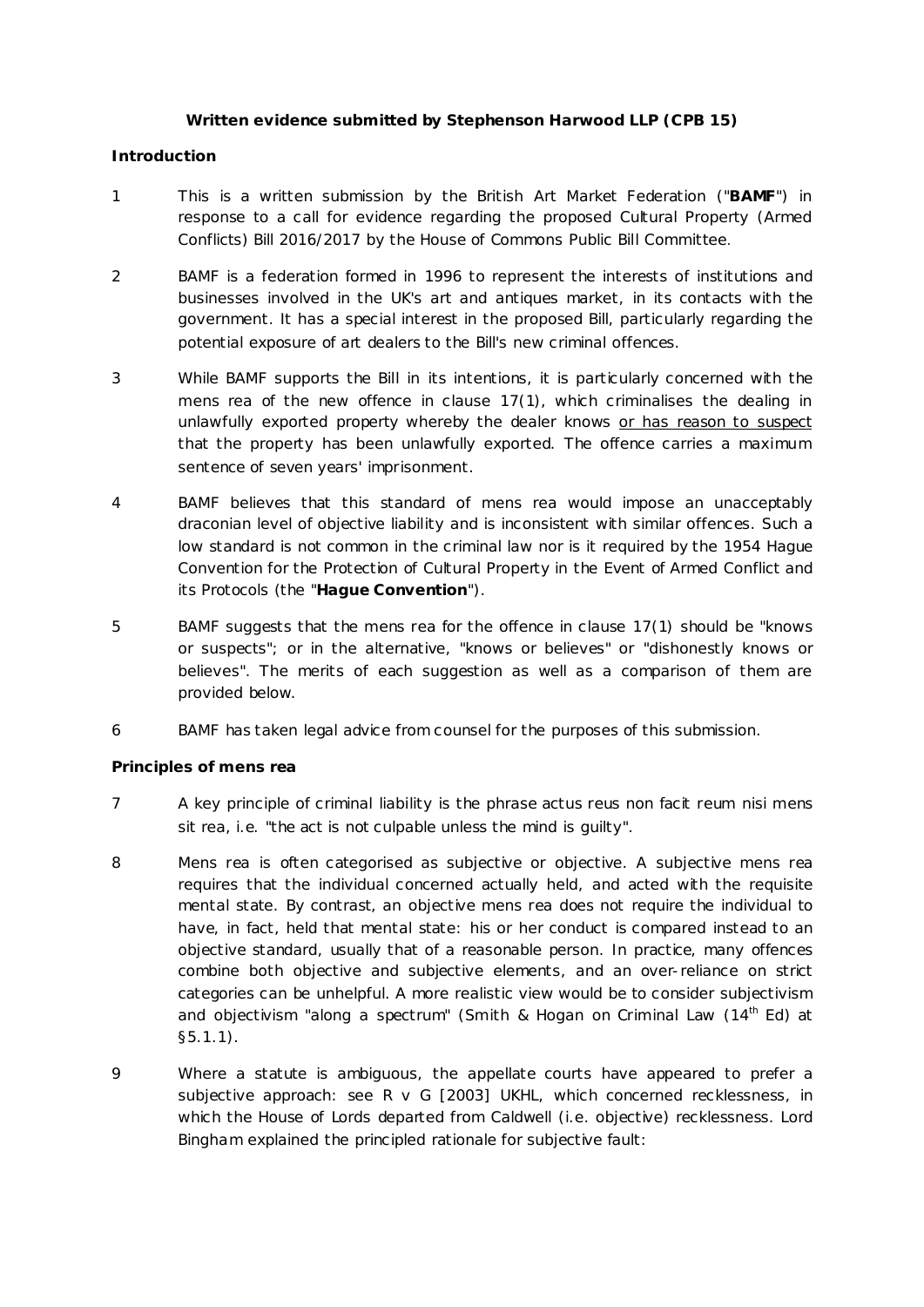# **Written evidence submitted by Stephenson Harwood LLP (CPB 15)**

#### **Introduction**

- 1 This is a written submission by the British Art Market Federation ("**BAMF**") in response to a call for evidence regarding the proposed Cultural Property (Armed Conflicts) Bill 2016/2017 by the House of Commons Public Bill Committee.
- 2 BAMF is a federation formed in 1996 to represent the interests of institutions and businesses involved in the UK's art and antiques market, in its contacts with the government. It has a special interest in the proposed Bill, particularly regarding the potential exposure of art dealers to the Bill's new criminal offences.
- 3 While BAMF supports the Bill in its intentions, it is particularly concerned with the *mens rea* of the new offence in clause 17(1), which criminalises the dealing in unlawfully exported property whereby the dealer knows or has reason to suspect that the property has been unlawfully exported. The offence carries a maximum sentence of seven years' imprisonment.
- 4 BAMF believes that this standard of *mens rea* would impose an unacceptably draconian level of objective liability and is inconsistent with similar offences. Such a low standard is not common in the criminal law nor is it required by the 1954 Hague Convention for the Protection of Cultural Property in the Event of Armed Conflict and its Protocols (the "**Hague Convention**").
- 5 BAMF suggests that the *mens rea* for the offence in clause 17(1) should be "knows or suspects"; or in the alternative, "knows or believes" or "dishonestly knows or believes". The merits of each suggestion as well as a comparison of them are provided below.
- 6 BAMF has taken legal advice from counsel for the purposes of this submission.

# **Principles of** *mens rea*

- 7 A key principle of criminal liability is the phrase *actus reus non facit reum nisi mens sit rea*, i.e. "the act is not culpable unless the mind is guilty".
- 8 *Mens rea* is often categorised as subjective or objective. A subjective *mens rea*  requires that the individual concerned actually held, and acted with the requisite mental state. By contrast, an objective *mens rea* does not require the individual to have, in fact, held that mental state: his or her conduct is compared instead to an objective standard, usually that of a reasonable person. In practice, many offences combine both objective and subjective elements, and an over-reliance on strict categories can be unhelpful. A more realistic view would be to consider subjectivism and objectivism "along a spectrum" (*Smith & Hogan on Criminal Law* (14th Ed) at §5.1.1).
- 9 Where a statute is ambiguous, the appellate courts have appeared to prefer a subjective approach: see *R v G* [2003] UKHL, which concerned recklessness, in which the House of Lords departed from *Caldwell* (i.e. objective) recklessness. Lord Bingham explained the principled rationale for subjective fault: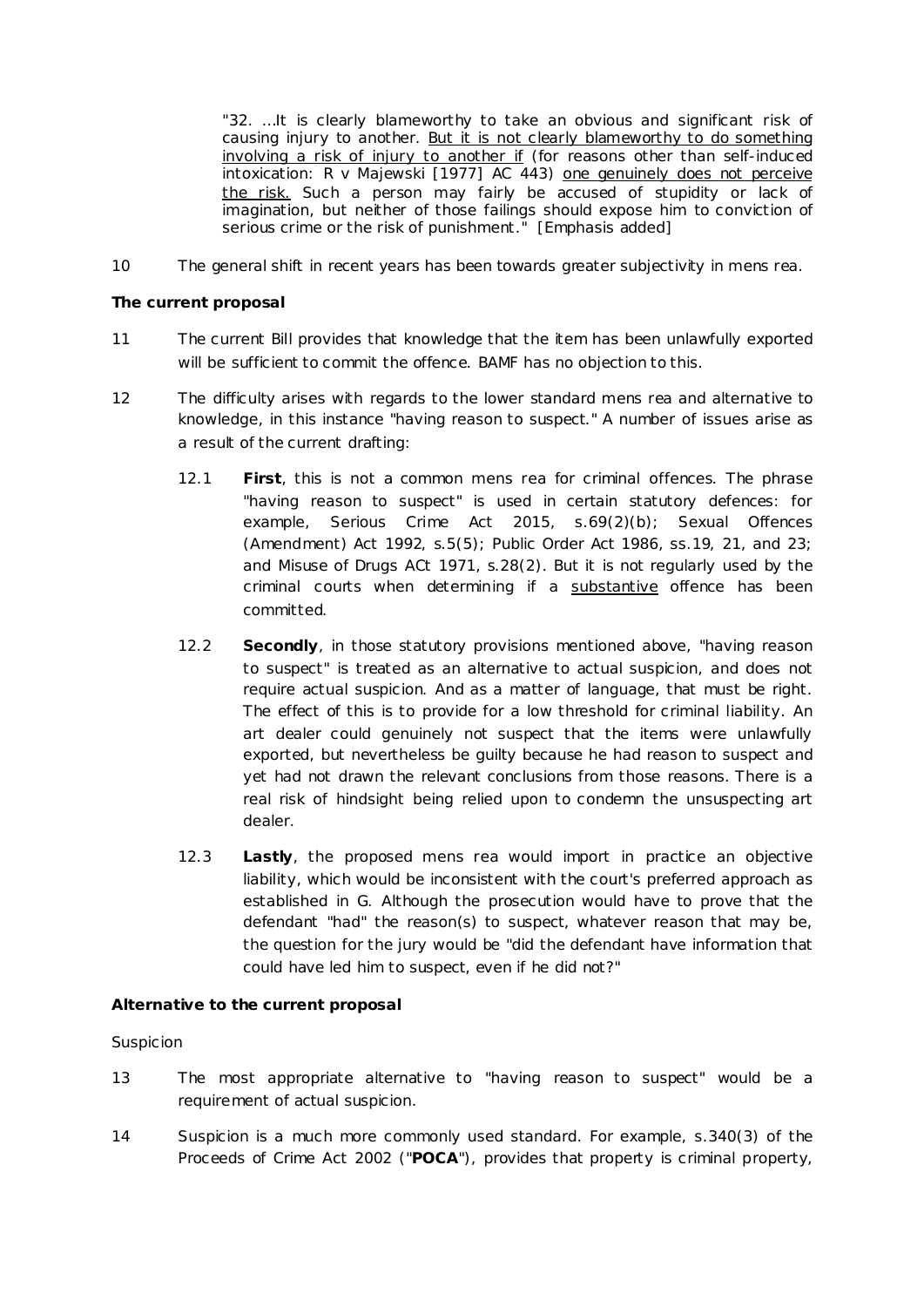*"32. …It is clearly blameworthy to take an obvious and significant risk of causing injury to another. But it is not clearly blameworthy to do something involving a risk of injury to another if (for reasons other than self-induced intoxication: R v Majewski [1977] AC 443) one genuinely does not perceive the risk. Such a person may fairly be accused of stupidity or lack of imagination, but neither of those failings should expose him to conviction of serious crime or the risk of punishment."* [Emphasis added]

10 The general shift in recent years has been towards greater subjectivity in *mens rea*.

# **The current proposal**

- 11 The current Bill provides that knowledge that the item has been unlawfully exported will be sufficient to commit the offence. BAMF has no objection to this.
- 12 The difficulty arises with regards to the lower standard *mens rea* and alternative to knowledge, in this instance "having reason to suspect." A number of issues arise as a result of the current drafting:
	- 12.1 **First**, this is not a common *mens rea* for criminal offences. The phrase "having reason to suspect" is used in certain statutory defences: for example, Serious Crime Act 2015, s.69(2)(b); Sexual Offences (Amendment) Act 1992, s.5(5); Public Order Act 1986, ss.19, 21, and 23; and Misuse of Drugs ACt 1971, s.28(2). But it is not regularly used by the criminal courts when determining if a substantive offence has been committed.
	- 12.2 **Secondly**, in those statutory provisions mentioned above, "having reason to suspect" is treated as an alternative to actual suspicion, and does not require actual suspicion. And as a matter of language, that must be right. The effect of this is to provide for a low threshold for criminal liability. An art dealer could genuinely not suspect that the items were unlawfully exported, but nevertheless be guilty because he had reason to suspect and yet had not drawn the relevant conclusions from those reasons. There is a real risk of hindsight being relied upon to condemn the unsuspecting art dealer.
	- 12.3 **Lastly**, the proposed *mens rea* would import in practice an objective liability, which would be inconsistent with the court's preferred approach as established in *G*. Although the prosecution would have to prove that the defendant "had" the reason(s) to suspect, whatever reason that may be, the question for the jury would be "did the defendant have information that could have led him to suspect, even if he did not?"

# **Alternative to the current proposal**

# *Suspicion*

- 13 The most appropriate alternative to "having reason to suspect" would be a requirement of actual suspicion.
- 14 Suspicion is a much more commonly used standard. For example, s.340(3) of the Proceeds of Crime Act 2002 ("**POCA**"), provides that property is criminal property,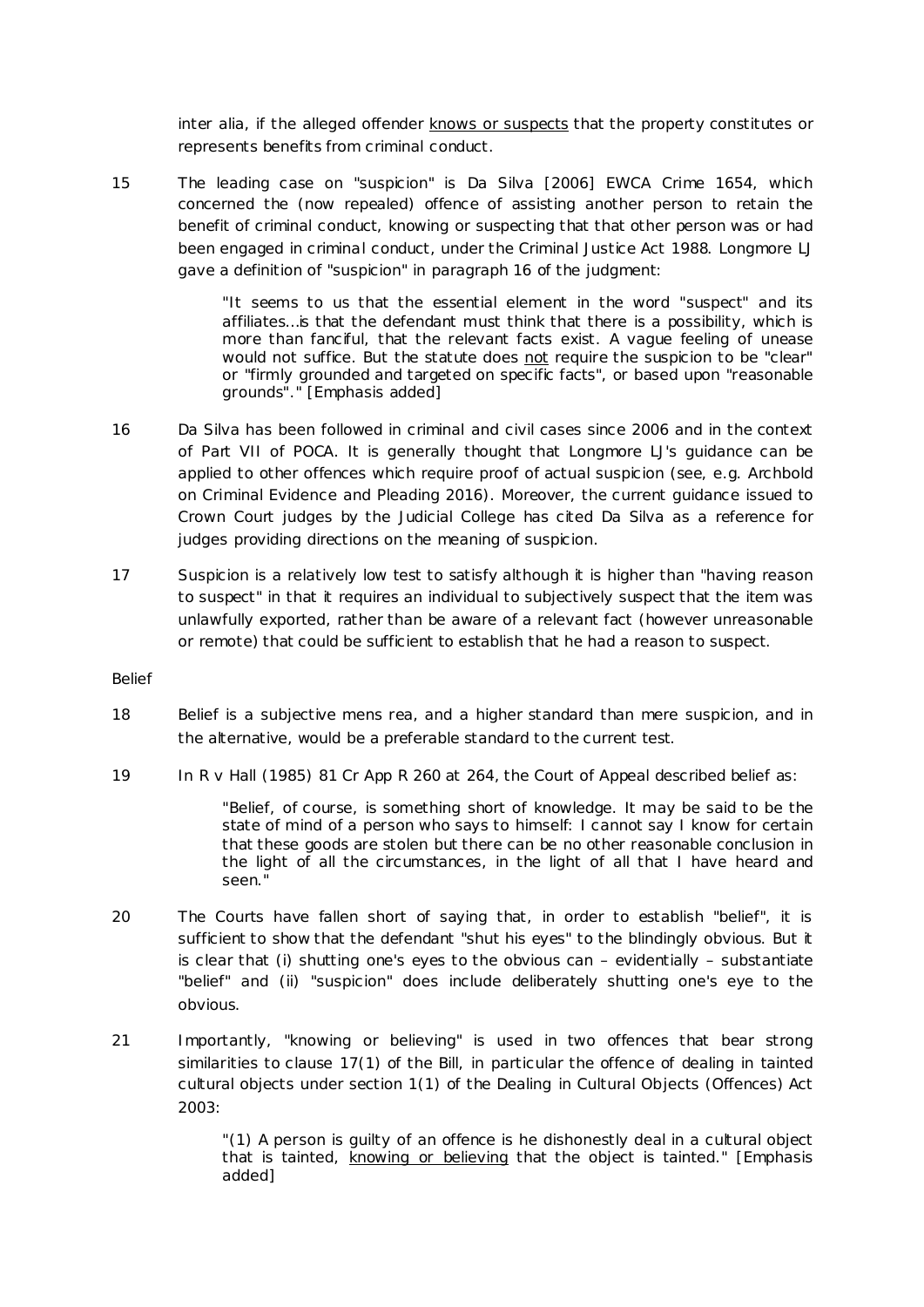*inter alia*, if the alleged offender knows or suspects that the property constitutes or represents benefits from criminal conduct.

15 The leading case on "suspicion" is *Da Silva* [2006] EWCA Crime 1654, which concerned the (now repealed) offence of assisting another person to retain the benefit of criminal conduct, knowing or suspecting that that other person was or had been engaged in criminal conduct, under the Criminal Justice Act 1988. Longmore LJ gave a definition of "suspicion" in paragraph 16 of the judgment:

> *"It seems to us that the essential element in the word "suspect" and its affiliates…is that the defendant must think that there is a possibility, which is more than fanciful, that the relevant facts exist. A vague feeling of unease would not suffice. But the statute does not require the suspicion to be "clear" or "firmly grounded and targeted on specific facts", or based upon "reasonable grounds"."* [Emphasis added]

- 16 *Da Silva* has been followed in criminal and civil cases since 2006 and in the context of Part VII of POCA. It is generally thought that Longmore LJ's guidance can be applied to other offences which require proof of actual suspicion (see, e.g. Archbold on Criminal Evidence and Pleading 2016). Moreover, the current guidance issued to Crown Court judges by the Judicial College has cited *Da Silva* as a reference for judges providing directions on the meaning of suspicion.
- 17 Suspicion is a relatively low test to satisfy although it is higher than "having reason to suspect" in that it requires an individual to subjectively suspect that the item was unlawfully exported, rather than be aware of a relevant fact (however unreasonable or remote) that could be sufficient to establish that he had a reason to suspect.

*Belief*

- 18 Belief is a subjective *mens rea*, and a higher standard than mere suspicion, and in the alternative, would be a preferable standard to the current test.
- 19 In *R v Hall* (1985) 81 Cr App R 260 at 264, the Court of Appeal described belief as:

*"Belief, of course, is something short of knowledge. It may be said to be the state of mind of a person who says to himself: I cannot say I know for certain that these goods are stolen but there can be no other reasonable conclusion in the light of all the circumstances, in the light of all that I have heard and seen."*

- 20 The Courts have fallen short of saying that, in order to establish "belief", it is sufficient to show that the defendant "shut his eyes" to the blindingly obvious. But it is clear that (i) shutting one's eyes to the obvious can – evidentially – substantiate "belief" and (ii) "suspicion" does include deliberately shutting one's eye to the obvious.
- 21 Importantly, "knowing or believing" is used in two offences that bear strong similarities to clause 17(1) of the Bill, in particular the offence of dealing in tainted cultural objects under section 1(1) of the Dealing in Cultural Objects (Offences) Act 2003:

*"(1) A person is guilty of an offence is he dishonestly deal in a cultural object that is tainted, knowing or believing that the object is tainted."* [Emphasis added]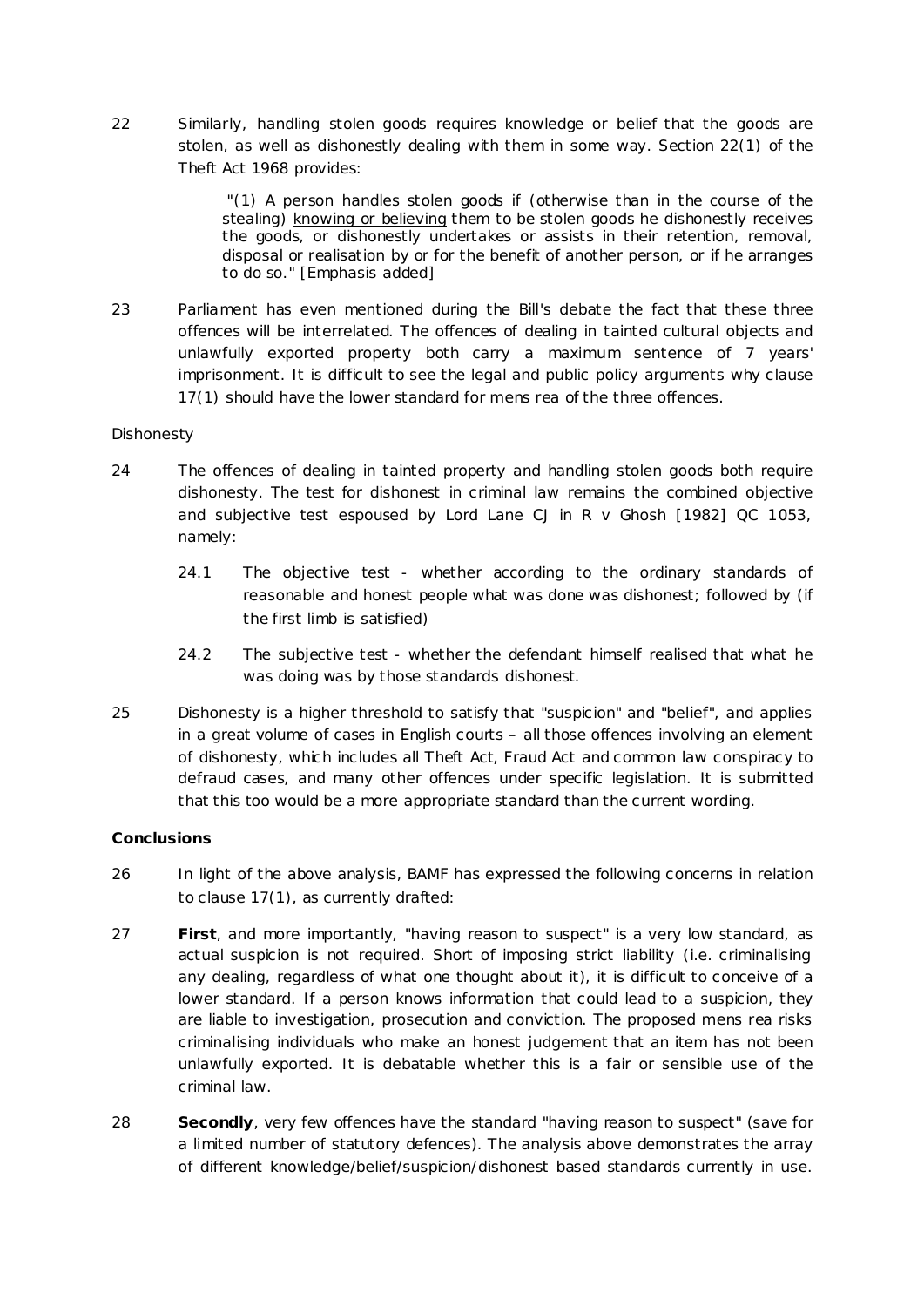22 Similarly, handling stolen goods requires knowledge or belief that the goods are stolen, as well as dishonestly dealing with them in some way. Section 22(1) of the Theft Act 1968 provides:

> *"(1) A person handles stolen goods if (otherwise than in the course of the stealing) knowing or believing them to be stolen goods he dishonestly receives the goods, or dishonestly undertakes or assists in their retention, removal, disposal or realisation by or for the benefit of another person, or if he arranges to do so."* [Emphasis added]

23 Parliament has even mentioned during the Bill's debate the fact that these three offences will be interrelated. The offences of dealing in tainted cultural objects and unlawfully exported property both carry a maximum sentence of 7 years' imprisonment. It is difficult to see the legal and public policy arguments why clause 17(1) should have the lower standard for *mens rea* of the three offences.

# *Dishonesty*

- 24 The offences of dealing in tainted property and handling stolen goods both require dishonesty. The test for dishonest in criminal law remains the combined objective and subjective test espoused by Lord Lane CJ in *R v Ghosh* [1982] QC 1053, namely:
	- 24.1 The objective test whether according to the ordinary standards of reasonable and honest people what was done was dishonest; followed by (if the first limb is satisfied)
	- 24.2 The subjective test whether the defendant himself realised that what he was doing was by those standards dishonest.
- 25 Dishonesty is a higher threshold to satisfy that "suspicion" and "belief", and applies in a great volume of cases in English courts – all those offences involving an element of dishonesty, which includes all Theft Act, Fraud Act and common law conspiracy to defraud cases, and many other offences under specific legislation. It is submitted that this too would be a more appropriate standard than the current wording.

# **Conclusions**

- 26 In light of the above analysis, BAMF has expressed the following concerns in relation to clause 17(1), as currently drafted:
- 27 **First**, and more importantly, "having reason to suspect" is a very low standard, as actual suspicion is not required. Short of imposing strict liability (i.e. criminalising any dealing, regardless of what one thought about it), it is difficult to conceive of a lower standard. If a person knows information that *could* lead to a suspicion, they are liable to investigation, prosecution and conviction. The proposed *mens rea* risks criminalising individuals who make an honest judgement that an item has not been unlawfully exported. It is debatable whether this is a fair or sensible use of the criminal law.
- 28 **Secondly**, very few offences have the standard "having reason to suspect" (save for a limited number of statutory defences). The analysis above demonstrates the array of different knowledge/belief/suspicion/dishonest based standards currently in use.